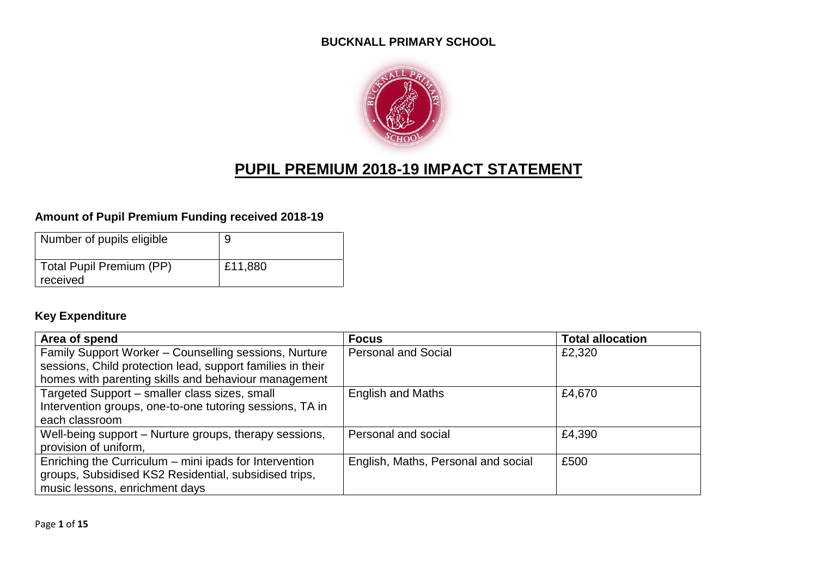#### **BUCKNALL PRIMARY SCHOOL**



# **PUPIL PREMIUM 2018-19 IMPACT STATEMENT**

#### **Amount of Pupil Premium Funding received 2018-19**

| Number of pupils eligible            |         |
|--------------------------------------|---------|
| Total Pupil Premium (PP)<br>received | £11,880 |

#### **Key Expenditure**

| Area of spend                                              | <b>Focus</b>                        | <b>Total allocation</b> |
|------------------------------------------------------------|-------------------------------------|-------------------------|
| Family Support Worker - Counselling sessions, Nurture      | <b>Personal and Social</b>          | £2,320                  |
| sessions, Child protection lead, support families in their |                                     |                         |
| homes with parenting skills and behaviour management       |                                     |                         |
| Targeted Support - smaller class sizes, small              | <b>English and Maths</b>            | £4,670                  |
| Intervention groups, one-to-one tutoring sessions, TA in   |                                     |                         |
| each classroom                                             |                                     |                         |
| Well-being support – Nurture groups, therapy sessions,     | Personal and social                 | £4,390                  |
| provision of uniform,                                      |                                     |                         |
| Enriching the Curriculum - mini ipads for Intervention     | English, Maths, Personal and social | £500                    |
| groups, Subsidised KS2 Residential, subsidised trips,      |                                     |                         |
| music lessons, enrichment days                             |                                     |                         |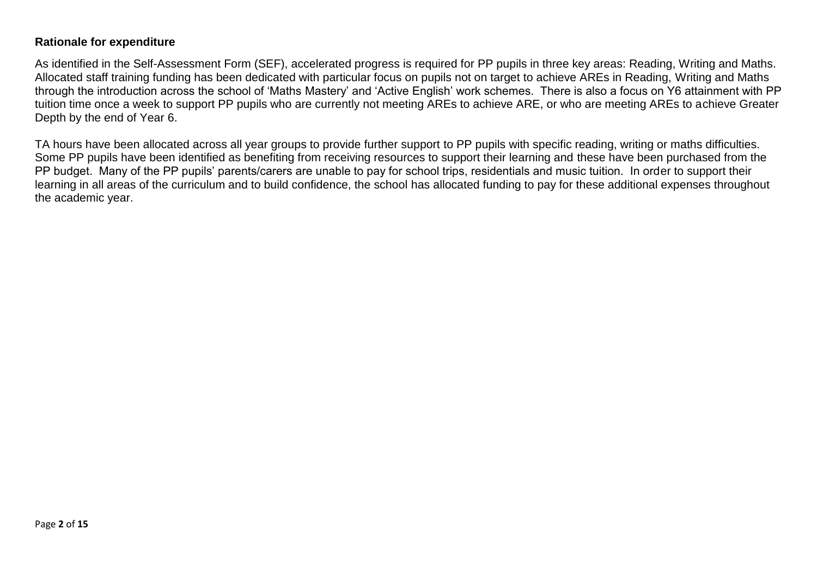#### **Rationale for expenditure**

As identified in the Self-Assessment Form (SEF), accelerated progress is required for PP pupils in three key areas: Reading, Writing and Maths. Allocated staff training funding has been dedicated with particular focus on pupils not on target to achieve AREs in Reading, Writing and Maths through the introduction across the school of 'Maths Mastery' and 'Active English' work schemes. There is also a focus on Y6 attainment with PP tuition time once a week to support PP pupils who are currently not meeting AREs to achieve ARE, or who are meeting AREs to achieve Greater Depth by the end of Year 6.

TA hours have been allocated across all year groups to provide further support to PP pupils with specific reading, writing or maths difficulties. Some PP pupils have been identified as benefiting from receiving resources to support their learning and these have been purchased from the PP budget. Many of the PP pupils' parents/carers are unable to pay for school trips, residentials and music tuition. In order to support their learning in all areas of the curriculum and to build confidence, the school has allocated funding to pay for these additional expenses throughout the academic year.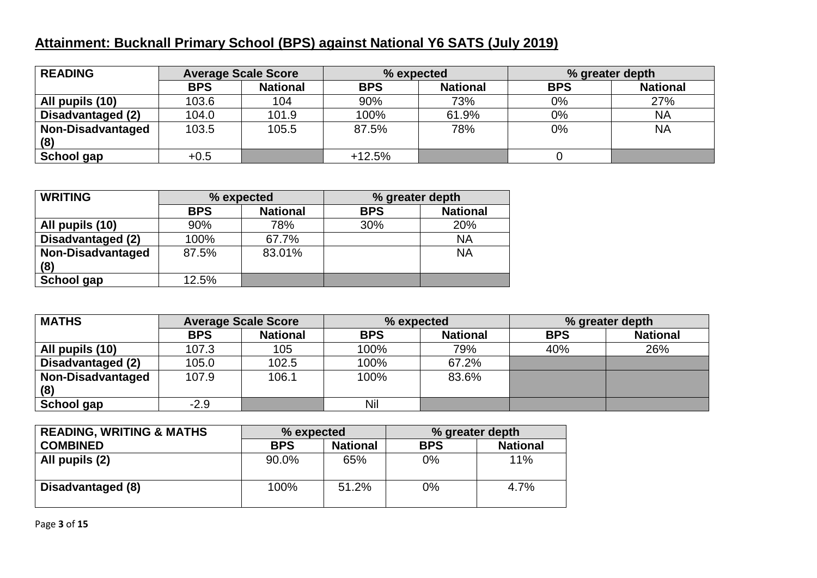### **Attainment: Bucknall Primary School (BPS) against National Y6 SATS (July 2019)**

| <b>READING</b>           | <b>Average Scale Score</b> |                 | % expected |                 | % greater depth |                 |
|--------------------------|----------------------------|-----------------|------------|-----------------|-----------------|-----------------|
|                          | <b>BPS</b>                 | <b>National</b> | <b>BPS</b> | <b>National</b> | <b>BPS</b>      | <b>National</b> |
| All pupils (10)          | 103.6                      | 104             | 90%        | 73%             | $0\%$           | 27%             |
| Disadvantaged (2)        | 104.0                      | 101.9           | 100%       | 61.9%           | $0\%$           | NA              |
| <b>Non-Disadvantaged</b> | 103.5                      | 105.5           | 87.5%      | 78%             | $0\%$           | <b>NA</b>       |
| (8)                      |                            |                 |            |                 |                 |                 |
| School gap               | $+0.5$                     |                 | $+12.5%$   |                 |                 |                 |

| <b>WRITING</b>           | % expected |                 | % greater depth |                 |  |
|--------------------------|------------|-----------------|-----------------|-----------------|--|
|                          | <b>BPS</b> | <b>National</b> | <b>BPS</b>      | <b>National</b> |  |
| All pupils (10)          | 90%        | 78%             | 30%             | 20%             |  |
| Disadvantaged (2)        | 100%       | 67.7%           |                 | <b>NA</b>       |  |
| <b>Non-Disadvantaged</b> | 87.5%      | 83.01%          |                 | <b>NA</b>       |  |
| (8)                      |            |                 |                 |                 |  |
| School gap               | 12.5%      |                 |                 |                 |  |

| <b>MATHS</b>             | <b>Average Scale Score</b> |                 | % expected |                 |            | % greater depth |  |
|--------------------------|----------------------------|-----------------|------------|-----------------|------------|-----------------|--|
|                          | <b>BPS</b>                 | <b>National</b> | <b>BPS</b> | <b>National</b> | <b>BPS</b> | <b>National</b> |  |
| All pupils (10)          | 107.3                      | 105             | 100%       | 79%             | 40%        | 26%             |  |
| Disadvantaged (2)        | 105.0                      | 102.5           | 100%       | 67.2%           |            |                 |  |
| <b>Non-Disadvantaged</b> | 107.9                      | 106.1           | 100%       | 83.6%           |            |                 |  |
| (8)                      |                            |                 |            |                 |            |                 |  |
| School gap               | $-2.9$                     |                 | Nil        |                 |            |                 |  |

| <b>READING, WRITING &amp; MATHS</b> | % expected |                 | % greater depth |                 |  |
|-------------------------------------|------------|-----------------|-----------------|-----------------|--|
| <b>COMBINED</b>                     | <b>BPS</b> | <b>National</b> | <b>BPS</b>      | <b>National</b> |  |
| All pupils (2)                      | 90.0%      | 65%             | $0\%$           | 11%             |  |
| Disadvantaged (8)                   | 100%       | 51.2%           | 0%              | $4.7\%$         |  |

Page **3** of **15**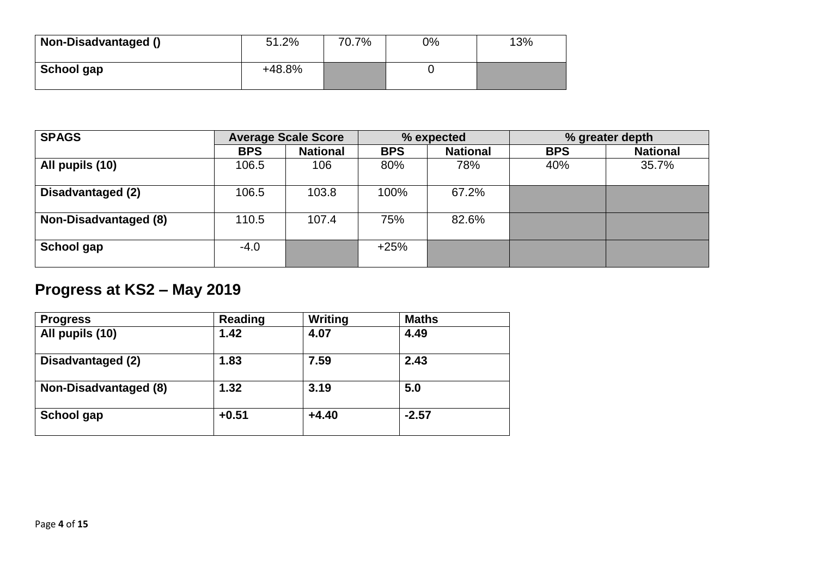| <b>Non-Disadvantaged ()</b> | 51.2%  | 70.7% | 0% | 13% |
|-----------------------------|--------|-------|----|-----|
| School gap                  | +48.8% |       |    |     |

| <b>SPAGS</b>          |            | <b>Average Scale Score</b> |            | % expected      |            | % greater depth |  |
|-----------------------|------------|----------------------------|------------|-----------------|------------|-----------------|--|
|                       | <b>BPS</b> | <b>National</b>            | <b>BPS</b> | <b>National</b> | <b>BPS</b> | <b>National</b> |  |
| All pupils (10)       | 106.5      | 106                        | 80%        | 78%             | 40%        | 35.7%           |  |
| Disadvantaged (2)     | 106.5      | 103.8                      | 100%       | 67.2%           |            |                 |  |
| Non-Disadvantaged (8) | 110.5      | 107.4                      | 75%        | 82.6%           |            |                 |  |
| School gap            | $-4.0$     |                            | $+25%$     |                 |            |                 |  |

# **Progress at KS2 – May 2019**

| <b>Progress</b>       | <b>Reading</b> | Writing | <b>Maths</b> |
|-----------------------|----------------|---------|--------------|
| All pupils (10)       | 1.42           | 4.07    | 4.49         |
| Disadvantaged (2)     | 1.83           | 7.59    | 2.43         |
| Non-Disadvantaged (8) | 1.32           | 3.19    | 5.0          |
| School gap            | $+0.51$        | $+4.40$ | $-2.57$      |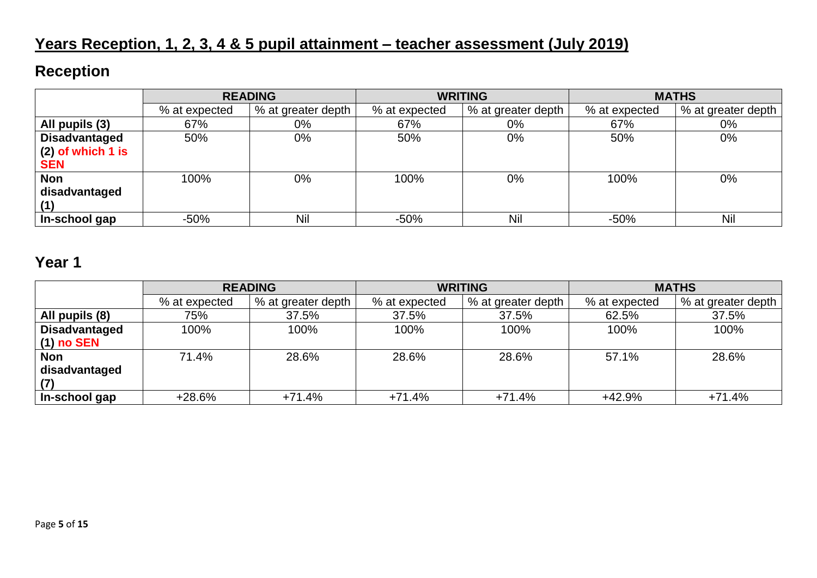# **Years Reception, 1, 2, 3, 4 & 5 pupil attainment – teacher assessment (July 2019)**

### **Reception**

|                      | <b>READING</b> |                    | <b>WRITING</b> |                    | <b>MATHS</b>  |                    |
|----------------------|----------------|--------------------|----------------|--------------------|---------------|--------------------|
|                      | % at expected  | % at greater depth | % at expected  | % at greater depth | % at expected | % at greater depth |
| All pupils (3)       | 67%            | $0\%$              | 67%            | 0%                 | 67%           | 0%                 |
| <b>Disadvantaged</b> | 50%            | $0\%$              | 50%            | 0%                 | 50%           | $0\%$              |
| $(2)$ of which 1 is  |                |                    |                |                    |               |                    |
| <b>SEN</b>           |                |                    |                |                    |               |                    |
| <b>Non</b>           | 100%           | 0%                 | 100%           | 0%                 | 100%          | $0\%$              |
| disadvantaged        |                |                    |                |                    |               |                    |
|                      |                |                    |                |                    |               |                    |
| In-school gap        | $-50%$         | Nil                | $-50%$         | Nil                | $-50%$        | Nil                |

### **Year 1**

|                      | <b>READING</b> |                    |               | <b>WRITING</b>     | <b>MATHS</b>  |                    |
|----------------------|----------------|--------------------|---------------|--------------------|---------------|--------------------|
|                      | % at expected  | % at greater depth | % at expected | % at greater depth | % at expected | % at greater depth |
| All pupils (8)       | 75%            | 37.5%              | 37.5%         | 37.5%              | 62.5%         | 37.5%              |
| <b>Disadvantaged</b> | 100%           | 100%               | 100%          | 100%               | 100%          | 100%               |
| $(1)$ no SEN         |                |                    |               |                    |               |                    |
| <b>Non</b>           | 71.4%          | 28.6%              | 28.6%         | 28.6%              | 57.1%         | 28.6%              |
| disadvantaged        |                |                    |               |                    |               |                    |
| (7)                  |                |                    |               |                    |               |                    |
| In-school gap        | $+28.6%$       | +71.4%             | $+71.4%$      | $+71.4%$           | +42.9%        | $+71.4%$           |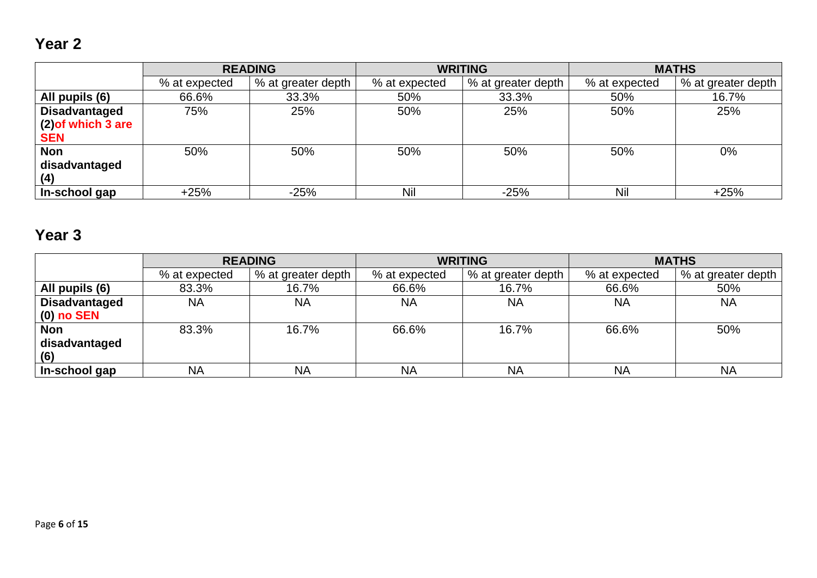## **Year 2**

|                      | <b>READING</b> |                    |               | <b>WRITING</b>     | <b>MATHS</b>  |                    |
|----------------------|----------------|--------------------|---------------|--------------------|---------------|--------------------|
|                      | % at expected  | % at greater depth | % at expected | % at greater depth | % at expected | % at greater depth |
| All pupils (6)       | 66.6%          | 33.3%              | 50%           | 33.3%              | 50%           | 16.7%              |
| <b>Disadvantaged</b> | 75%            | 25%                | 50%           | 25%                | 50%           | 25%                |
| (2) of which 3 are   |                |                    |               |                    |               |                    |
| <b>SEN</b>           |                |                    |               |                    |               |                    |
| Non                  | 50%            | 50%                | 50%           | 50%                | 50%           | 0%                 |
| disadvantaged        |                |                    |               |                    |               |                    |
| (4)                  |                |                    |               |                    |               |                    |
| In-school gap        | $+25%$         | $-25%$             | Nil           | $-25%$             | Nil           | $+25%$             |

## **Year 3**

|                      | <b>READING</b> |                    | <b>WRITING</b> |                    | <b>MATHS</b>  |                    |
|----------------------|----------------|--------------------|----------------|--------------------|---------------|--------------------|
|                      | % at expected  | % at greater depth | % at expected  | % at greater depth | % at expected | % at greater depth |
| All pupils (6)       | 83.3%          | 16.7%              | 66.6%          | 16.7%              | 66.6%         | 50%                |
| <b>Disadvantaged</b> | NA             | <b>NA</b>          | <b>NA</b>      | <b>NA</b>          | <b>NA</b>     | <b>NA</b>          |
| $(0)$ no SEN         |                |                    |                |                    |               |                    |
| <b>Non</b>           | 83.3%          | 16.7%              | 66.6%          | 16.7%              | 66.6%         | 50%                |
| disadvantaged        |                |                    |                |                    |               |                    |
| (6)                  |                |                    |                |                    |               |                    |
| In-school gap        | <b>NA</b>      | <b>NA</b>          | <b>NA</b>      | <b>NA</b>          | <b>NA</b>     | <b>NA</b>          |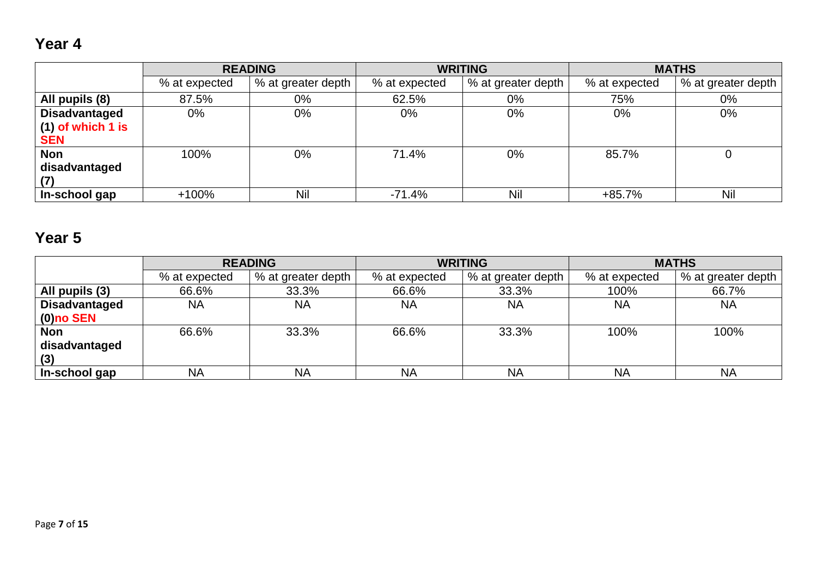## **Year 4**

|                      |               | <b>READING</b>     |               | <b>WRITING</b>     |               | <b>MATHS</b>       |
|----------------------|---------------|--------------------|---------------|--------------------|---------------|--------------------|
|                      | % at expected | % at greater depth | % at expected | % at greater depth | % at expected | % at greater depth |
| All pupils (8)       | 87.5%         | $0\%$              | 62.5%         | 0%                 | 75%           | $0\%$              |
| <b>Disadvantaged</b> | 0%            | $0\%$              | $0\%$         | $0\%$              | $0\%$         | 0%                 |
| $(1)$ of which 1 is  |               |                    |               |                    |               |                    |
| <b>SEN</b>           |               |                    |               |                    |               |                    |
| <b>Non</b>           | 100%          | $0\%$              | 71.4%         | $0\%$              | 85.7%         |                    |
| disadvantaged        |               |                    |               |                    |               |                    |
| (7)                  |               |                    |               |                    |               |                    |
| In-school gap        | $+100%$       | Nil                | $-71.4%$      | Nil                | $+85.7%$      | Nil                |

# **Year 5**

|                      |               | <b>READING</b>     |               | <b>WRITING</b>     |               | <b>MATHS</b>       |
|----------------------|---------------|--------------------|---------------|--------------------|---------------|--------------------|
|                      | % at expected | % at greater depth | % at expected | % at greater depth | % at expected | % at greater depth |
| All pupils (3)       | 66.6%         | 33.3%              | 66.6%         | 33.3%              | 100%          | 66.7%              |
| <b>Disadvantaged</b> | <b>NA</b>     | <b>NA</b>          | <b>NA</b>     | NA                 | <b>NA</b>     | <b>NA</b>          |
| $\mid$ (0)no SEN     |               |                    |               |                    |               |                    |
| Non                  | 66.6%         | 33.3%              | 66.6%         | 33.3%              | 100%          | 100%               |
| disadvantaged        |               |                    |               |                    |               |                    |
| (3)                  |               |                    |               |                    |               |                    |
| In-school gap        | <b>NA</b>     | <b>NA</b>          | <b>NA</b>     | <b>NA</b>          | <b>NA</b>     | <b>NA</b>          |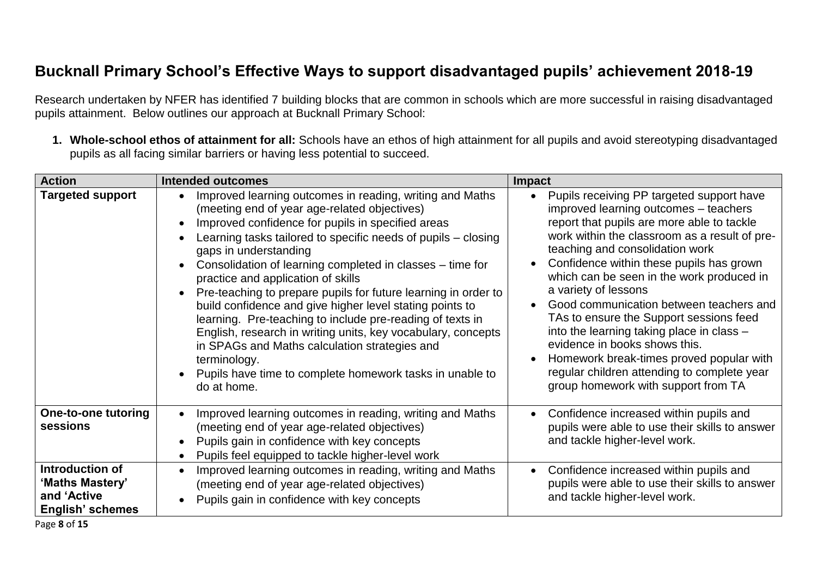### **Bucknall Primary School's Effective Ways to support disadvantaged pupils' achievement 2018-19**

Research undertaken by NFER has identified 7 building blocks that are common in schools which are more successful in raising disadvantaged pupils attainment. Below outlines our approach at Bucknall Primary School:

**1. Whole-school ethos of attainment for all:** Schools have an ethos of high attainment for all pupils and avoid stereotyping disadvantaged pupils as all facing similar barriers or having less potential to succeed.

| <b>Action</b>                                                         | <b>Intended outcomes</b>                                                                                                                                                                                                                                                                                                                                                                                                                                                                                                                                                                                                                                                                                                                                          | <b>Impact</b>                                                                                                                                                                                                                                                                                                                                                                                                                                                                                                                                                                                                                               |
|-----------------------------------------------------------------------|-------------------------------------------------------------------------------------------------------------------------------------------------------------------------------------------------------------------------------------------------------------------------------------------------------------------------------------------------------------------------------------------------------------------------------------------------------------------------------------------------------------------------------------------------------------------------------------------------------------------------------------------------------------------------------------------------------------------------------------------------------------------|---------------------------------------------------------------------------------------------------------------------------------------------------------------------------------------------------------------------------------------------------------------------------------------------------------------------------------------------------------------------------------------------------------------------------------------------------------------------------------------------------------------------------------------------------------------------------------------------------------------------------------------------|
| <b>Targeted support</b>                                               | Improved learning outcomes in reading, writing and Maths<br>(meeting end of year age-related objectives)<br>Improved confidence for pupils in specified areas<br>Learning tasks tailored to specific needs of pupils - closing<br>gaps in understanding<br>Consolidation of learning completed in classes – time for<br>practice and application of skills<br>Pre-teaching to prepare pupils for future learning in order to<br>build confidence and give higher level stating points to<br>learning. Pre-teaching to include pre-reading of texts in<br>English, research in writing units, key vocabulary, concepts<br>in SPAGs and Maths calculation strategies and<br>terminology.<br>Pupils have time to complete homework tasks in unable to<br>do at home. | Pupils receiving PP targeted support have<br>improved learning outcomes - teachers<br>report that pupils are more able to tackle<br>work within the classroom as a result of pre-<br>teaching and consolidation work<br>Confidence within these pupils has grown<br>which can be seen in the work produced in<br>a variety of lessons<br>Good communication between teachers and<br>TAs to ensure the Support sessions feed<br>into the learning taking place in class -<br>evidence in books shows this.<br>Homework break-times proved popular with<br>regular children attending to complete year<br>group homework with support from TA |
| One-to-one tutoring<br>sessions                                       | Improved learning outcomes in reading, writing and Maths<br>(meeting end of year age-related objectives)<br>Pupils gain in confidence with key concepts<br>Pupils feel equipped to tackle higher-level work                                                                                                                                                                                                                                                                                                                                                                                                                                                                                                                                                       | Confidence increased within pupils and<br>pupils were able to use their skills to answer<br>and tackle higher-level work.                                                                                                                                                                                                                                                                                                                                                                                                                                                                                                                   |
| Introduction of<br>'Maths Mastery'<br>and 'Active<br>English' schemes | Improved learning outcomes in reading, writing and Maths<br>(meeting end of year age-related objectives)<br>Pupils gain in confidence with key concepts                                                                                                                                                                                                                                                                                                                                                                                                                                                                                                                                                                                                           | Confidence increased within pupils and<br>pupils were able to use their skills to answer<br>and tackle higher-level work.                                                                                                                                                                                                                                                                                                                                                                                                                                                                                                                   |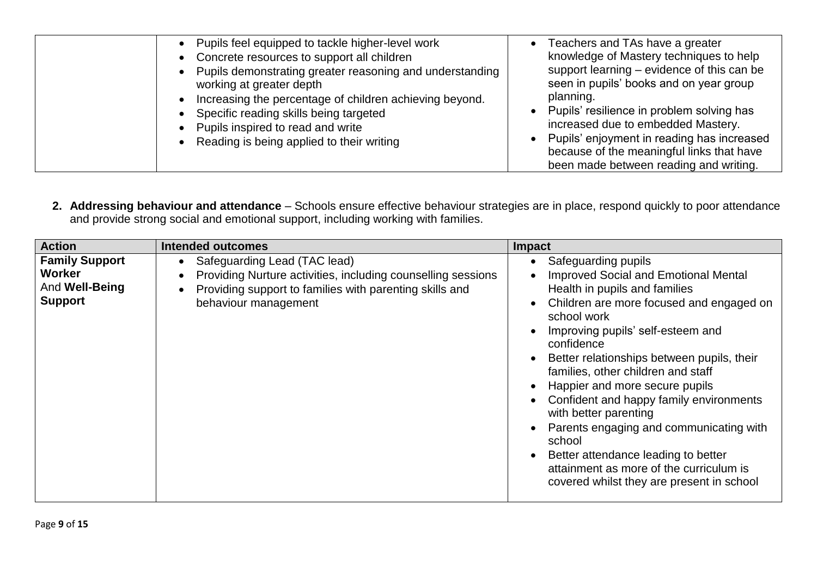| • Pupils feel equipped to tackle higher-level work<br>• Concrete resources to support all children<br>• Pupils demonstrating greater reasoning and understanding<br>working at greater depth<br>Increasing the percentage of children achieving beyond.<br>Specific reading skills being targeted<br>• Pupils inspired to read and write<br>• Reading is being applied to their writing | Teachers and TAs have a greater<br>knowledge of Mastery techniques to help<br>support learning – evidence of this can be<br>seen in pupils' books and on year group<br>planning.<br>• Pupils' resilience in problem solving has<br>increased due to embedded Mastery.<br>• Pupils' enjoyment in reading has increased<br>because of the meaningful links that have<br>been made between reading and writing. |
|-----------------------------------------------------------------------------------------------------------------------------------------------------------------------------------------------------------------------------------------------------------------------------------------------------------------------------------------------------------------------------------------|--------------------------------------------------------------------------------------------------------------------------------------------------------------------------------------------------------------------------------------------------------------------------------------------------------------------------------------------------------------------------------------------------------------|
|-----------------------------------------------------------------------------------------------------------------------------------------------------------------------------------------------------------------------------------------------------------------------------------------------------------------------------------------------------------------------------------------|--------------------------------------------------------------------------------------------------------------------------------------------------------------------------------------------------------------------------------------------------------------------------------------------------------------------------------------------------------------------------------------------------------------|

**2. Addressing behaviour and attendance** – Schools ensure effective behaviour strategies are in place, respond quickly to poor attendance and provide strong social and emotional support, including working with families.

| <b>Action</b>                                                       | <b>Intended outcomes</b>                                                                                                                                                        | Impact                                                                                                                                                                                                                                                                                                                                                                                                                                                                                                                                                                                          |
|---------------------------------------------------------------------|---------------------------------------------------------------------------------------------------------------------------------------------------------------------------------|-------------------------------------------------------------------------------------------------------------------------------------------------------------------------------------------------------------------------------------------------------------------------------------------------------------------------------------------------------------------------------------------------------------------------------------------------------------------------------------------------------------------------------------------------------------------------------------------------|
| <b>Family Support</b><br>Worker<br>And Well-Being<br><b>Support</b> | Safeguarding Lead (TAC lead)<br>Providing Nurture activities, including counselling sessions<br>Providing support to families with parenting skills and<br>behaviour management | Safeguarding pupils<br><b>Improved Social and Emotional Mental</b><br>Health in pupils and families<br>Children are more focused and engaged on<br>school work<br>Improving pupils' self-esteem and<br>confidence<br>Better relationships between pupils, their<br>families, other children and staff<br>Happier and more secure pupils<br>Confident and happy family environments<br>with better parenting<br>Parents engaging and communicating with<br>school<br>Better attendance leading to better<br>attainment as more of the curriculum is<br>covered whilst they are present in school |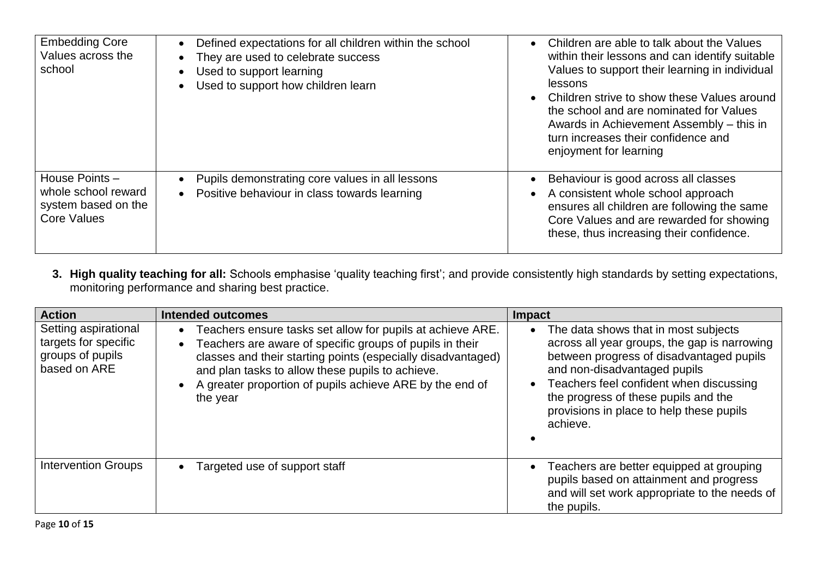| <b>Embedding Core</b><br>Values across the<br>school                               | Defined expectations for all children within the school<br>$\bullet$<br>They are used to celebrate success<br>Used to support learning<br>Used to support how children learn | Children are able to talk about the Values<br>within their lessons and can identify suitable<br>Values to support their learning in individual<br>lessons<br>Children strive to show these Values around<br>the school and are nominated for Values<br>Awards in Achievement Assembly – this in<br>turn increases their confidence and<br>enjoyment for learning |
|------------------------------------------------------------------------------------|------------------------------------------------------------------------------------------------------------------------------------------------------------------------------|------------------------------------------------------------------------------------------------------------------------------------------------------------------------------------------------------------------------------------------------------------------------------------------------------------------------------------------------------------------|
| House Points -<br>whole school reward<br>system based on the<br><b>Core Values</b> | Pupils demonstrating core values in all lessons<br>Positive behaviour in class towards learning<br>$\bullet$                                                                 | Behaviour is good across all classes<br>A consistent whole school approach<br>ensures all children are following the same<br>Core Values and are rewarded for showing<br>these, thus increasing their confidence.                                                                                                                                                |

**3. High quality teaching for all:** Schools emphasise 'quality teaching first'; and provide consistently high standards by setting expectations, monitoring performance and sharing best practice.

| <b>Action</b>                                                                    | <b>Intended outcomes</b>                                                                                                                                                                                                                                                                                                        | <b>Impact</b>                                                                                                                                                                                                                                                                                               |
|----------------------------------------------------------------------------------|---------------------------------------------------------------------------------------------------------------------------------------------------------------------------------------------------------------------------------------------------------------------------------------------------------------------------------|-------------------------------------------------------------------------------------------------------------------------------------------------------------------------------------------------------------------------------------------------------------------------------------------------------------|
| Setting aspirational<br>targets for specific<br>groups of pupils<br>based on ARE | Teachers ensure tasks set allow for pupils at achieve ARE.<br>Teachers are aware of specific groups of pupils in their<br>$\bullet$<br>classes and their starting points (especially disadvantaged)<br>and plan tasks to allow these pupils to achieve.<br>A greater proportion of pupils achieve ARE by the end of<br>the year | The data shows that in most subjects<br>across all year groups, the gap is narrowing<br>between progress of disadvantaged pupils<br>and non-disadvantaged pupils<br>Teachers feel confident when discussing<br>the progress of these pupils and the<br>provisions in place to help these pupils<br>achieve. |
| <b>Intervention Groups</b>                                                       | Targeted use of support staff                                                                                                                                                                                                                                                                                                   | Teachers are better equipped at grouping<br>pupils based on attainment and progress<br>and will set work appropriate to the needs of<br>the pupils.                                                                                                                                                         |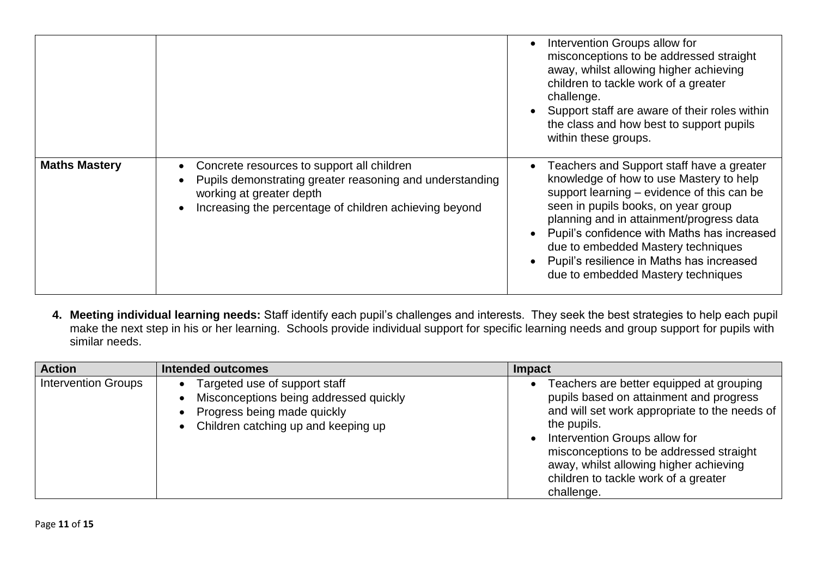|                      |                                                                                                                                                                                              | Intervention Groups allow for<br>misconceptions to be addressed straight<br>away, whilst allowing higher achieving<br>children to tackle work of a greater<br>challenge.<br>Support staff are aware of their roles within<br>the class and how best to support pupils<br>within these groups.                                                                                                 |
|----------------------|----------------------------------------------------------------------------------------------------------------------------------------------------------------------------------------------|-----------------------------------------------------------------------------------------------------------------------------------------------------------------------------------------------------------------------------------------------------------------------------------------------------------------------------------------------------------------------------------------------|
| <b>Maths Mastery</b> | Concrete resources to support all children<br>Pupils demonstrating greater reasoning and understanding<br>working at greater depth<br>Increasing the percentage of children achieving beyond | Teachers and Support staff have a greater<br>knowledge of how to use Mastery to help<br>support learning – evidence of this can be<br>seen in pupils books, on year group<br>planning and in attainment/progress data<br>Pupil's confidence with Maths has increased<br>due to embedded Mastery techniques<br>Pupil's resilience in Maths has increased<br>due to embedded Mastery techniques |

**4. Meeting individual learning needs:** Staff identify each pupil's challenges and interests. They seek the best strategies to help each pupil make the next step in his or her learning. Schools provide individual support for specific learning needs and group support for pupils with similar needs.

| <b>Action</b>              | Intended outcomes                                                                                                                                          | <b>Impact</b>                                                                                                                                                                                                                                                                                                                   |
|----------------------------|------------------------------------------------------------------------------------------------------------------------------------------------------------|---------------------------------------------------------------------------------------------------------------------------------------------------------------------------------------------------------------------------------------------------------------------------------------------------------------------------------|
| <b>Intervention Groups</b> | Targeted use of support staff<br>Misconceptions being addressed quickly<br>Progress being made quickly<br>Children catching up and keeping up<br>$\bullet$ | Teachers are better equipped at grouping<br>pupils based on attainment and progress<br>and will set work appropriate to the needs of<br>the pupils.<br>Intervention Groups allow for<br>misconceptions to be addressed straight<br>away, whilst allowing higher achieving<br>children to tackle work of a greater<br>challenge. |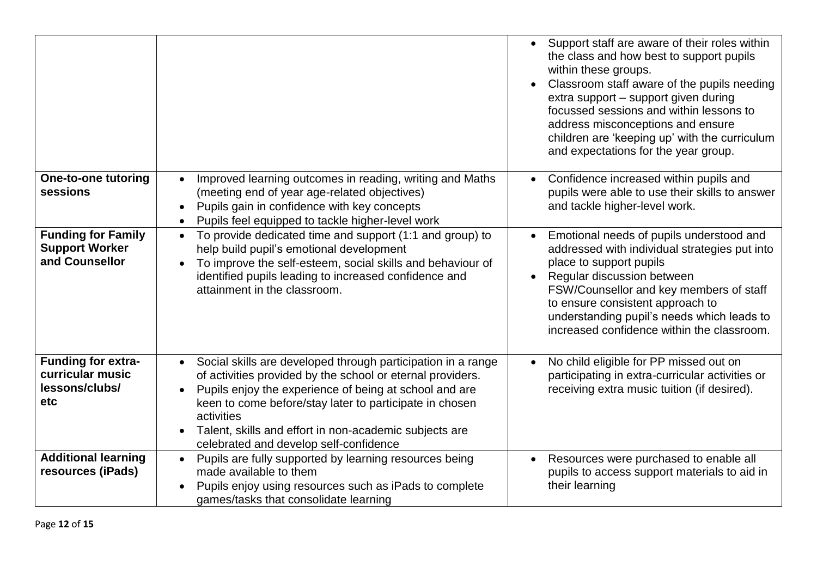|                                                                        |                                                                                                                                                                                                                                                                                                                                                                                | Support staff are aware of their roles within<br>$\bullet$<br>the class and how best to support pupils<br>within these groups.<br>Classroom staff aware of the pupils needing<br>extra support - support given during<br>focussed sessions and within lessons to<br>address misconceptions and ensure<br>children are 'keeping up' with the curriculum<br>and expectations for the year group. |
|------------------------------------------------------------------------|--------------------------------------------------------------------------------------------------------------------------------------------------------------------------------------------------------------------------------------------------------------------------------------------------------------------------------------------------------------------------------|------------------------------------------------------------------------------------------------------------------------------------------------------------------------------------------------------------------------------------------------------------------------------------------------------------------------------------------------------------------------------------------------|
| One-to-one tutoring<br>sessions                                        | Improved learning outcomes in reading, writing and Maths<br>(meeting end of year age-related objectives)<br>Pupils gain in confidence with key concepts<br>$\bullet$<br>Pupils feel equipped to tackle higher-level work<br>$\bullet$                                                                                                                                          | Confidence increased within pupils and<br>pupils were able to use their skills to answer<br>and tackle higher-level work.                                                                                                                                                                                                                                                                      |
| <b>Funding for Family</b><br><b>Support Worker</b><br>and Counsellor   | To provide dedicated time and support (1:1 and group) to<br>$\bullet$<br>help build pupil's emotional development<br>To improve the self-esteem, social skills and behaviour of<br>identified pupils leading to increased confidence and<br>attainment in the classroom.                                                                                                       | Emotional needs of pupils understood and<br>addressed with individual strategies put into<br>place to support pupils<br>Regular discussion between<br>FSW/Counsellor and key members of staff<br>to ensure consistent approach to<br>understanding pupil's needs which leads to<br>increased confidence within the classroom.                                                                  |
| Funding for extra-<br>curricular music<br>lessons/clubs/<br><b>etc</b> | Social skills are developed through participation in a range<br>of activities provided by the school or eternal providers.<br>Pupils enjoy the experience of being at school and are<br>$\bullet$<br>keen to come before/stay later to participate in chosen<br>activities<br>Talent, skills and effort in non-academic subjects are<br>celebrated and develop self-confidence | No child eligible for PP missed out on<br>$\bullet$<br>participating in extra-curricular activities or<br>receiving extra music tuition (if desired).                                                                                                                                                                                                                                          |
| <b>Additional learning</b><br>resources (iPads)                        | Pupils are fully supported by learning resources being<br>$\bullet$<br>made available to them<br>Pupils enjoy using resources such as iPads to complete<br>$\bullet$<br>games/tasks that consolidate learning                                                                                                                                                                  | Resources were purchased to enable all<br>$\bullet$<br>pupils to access support materials to aid in<br>their learning                                                                                                                                                                                                                                                                          |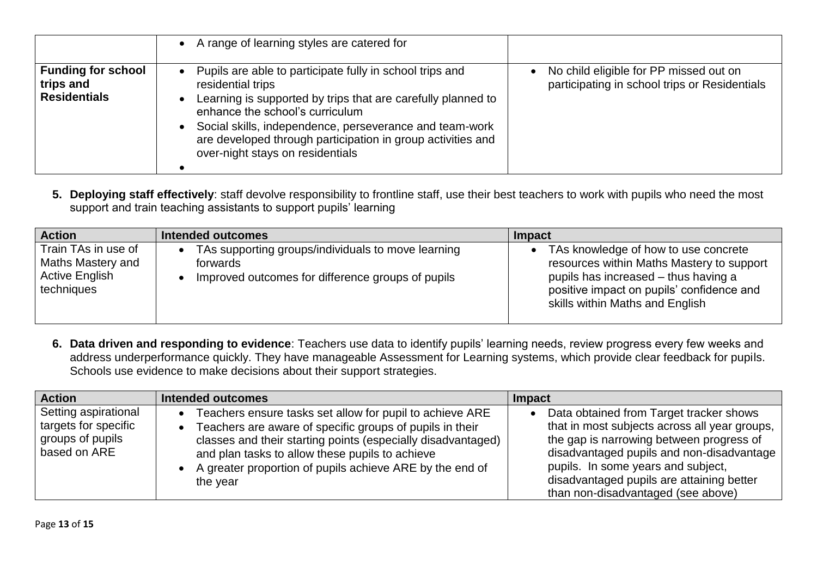|                                                               | • A range of learning styles are catered for                                                                                                                                                                                                                                                                                                                             |                                                                                         |
|---------------------------------------------------------------|--------------------------------------------------------------------------------------------------------------------------------------------------------------------------------------------------------------------------------------------------------------------------------------------------------------------------------------------------------------------------|-----------------------------------------------------------------------------------------|
| <b>Funding for school</b><br>trips and<br><b>Residentials</b> | Pupils are able to participate fully in school trips and<br>$\bullet$<br>residential trips<br>Learning is supported by trips that are carefully planned to<br>enhance the school's curriculum<br>Social skills, independence, perseverance and team-work<br>$\bullet$<br>are developed through participation in group activities and<br>over-night stays on residentials | No child eligible for PP missed out on<br>participating in school trips or Residentials |

**5. Deploying staff effectively**: staff devolve responsibility to frontline staff, use their best teachers to work with pupils who need the most support and train teaching assistants to support pupils' learning

| <b>Action</b>                                                            | <b>Intended outcomes</b>                                                                                            | Impact                                                                                                                                                                                                      |
|--------------------------------------------------------------------------|---------------------------------------------------------------------------------------------------------------------|-------------------------------------------------------------------------------------------------------------------------------------------------------------------------------------------------------------|
| Train TAs in use of<br>Maths Mastery and<br>Active English<br>techniques | TAs supporting groups/individuals to move learning<br>forwards<br>Improved outcomes for difference groups of pupils | • TAs knowledge of how to use concrete<br>resources within Maths Mastery to support<br>pupils has increased – thus having a<br>positive impact on pupils' confidence and<br>skills within Maths and English |

**6. Data driven and responding to evidence**: Teachers use data to identify pupils' learning needs, review progress every few weeks and address underperformance quickly. They have manageable Assessment for Learning systems, which provide clear feedback for pupils. Schools use evidence to make decisions about their support strategies.

| <b>Action</b>                                                                    | Intended outcomes                                                                                                                                                                                                                                                                                               | Impact                                                                                                                                                                                                                                                                                                     |
|----------------------------------------------------------------------------------|-----------------------------------------------------------------------------------------------------------------------------------------------------------------------------------------------------------------------------------------------------------------------------------------------------------------|------------------------------------------------------------------------------------------------------------------------------------------------------------------------------------------------------------------------------------------------------------------------------------------------------------|
| Setting aspirational<br>targets for specific<br>groups of pupils<br>based on ARE | Teachers ensure tasks set allow for pupil to achieve ARE<br>Teachers are aware of specific groups of pupils in their<br>classes and their starting points (especially disadvantaged)<br>and plan tasks to allow these pupils to achieve<br>A greater proportion of pupils achieve ARE by the end of<br>the year | Data obtained from Target tracker shows<br>that in most subjects across all year groups,<br>the gap is narrowing between progress of<br>disadvantaged pupils and non-disadvantage<br>pupils. In some years and subject,<br>disadvantaged pupils are attaining better<br>than non-disadvantaged (see above) |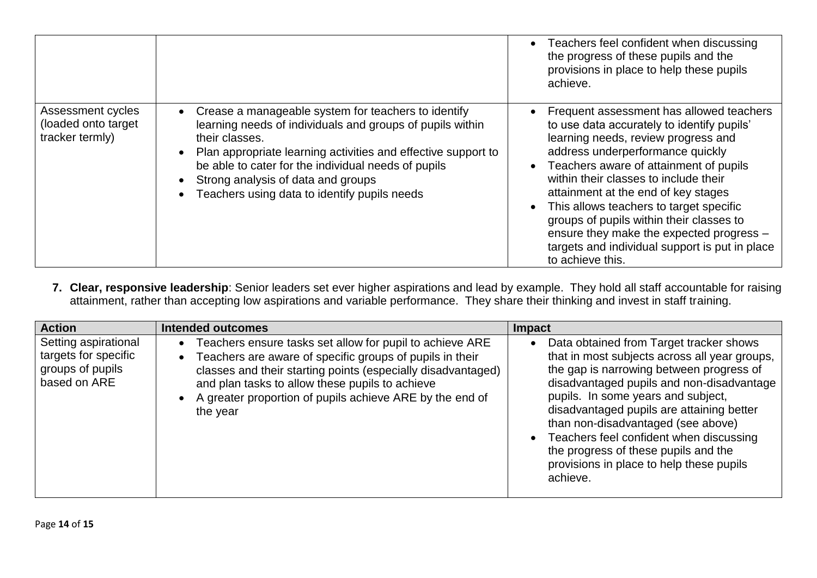|                                                              |                                                                                                                                                                                                                                                                                                                                                  | Teachers feel confident when discussing<br>the progress of these pupils and the<br>provisions in place to help these pupils<br>achieve.                                                                                                                                                                                                                                                                                                                                                              |
|--------------------------------------------------------------|--------------------------------------------------------------------------------------------------------------------------------------------------------------------------------------------------------------------------------------------------------------------------------------------------------------------------------------------------|------------------------------------------------------------------------------------------------------------------------------------------------------------------------------------------------------------------------------------------------------------------------------------------------------------------------------------------------------------------------------------------------------------------------------------------------------------------------------------------------------|
| Assessment cycles<br>(loaded onto target)<br>tracker termly) | Crease a manageable system for teachers to identify<br>learning needs of individuals and groups of pupils within<br>their classes.<br>Plan appropriate learning activities and effective support to<br>be able to cater for the individual needs of pupils<br>Strong analysis of data and groups<br>Teachers using data to identify pupils needs | Frequent assessment has allowed teachers<br>to use data accurately to identify pupils'<br>learning needs, review progress and<br>address underperformance quickly<br>Teachers aware of attainment of pupils<br>within their classes to include their<br>attainment at the end of key stages<br>This allows teachers to target specific<br>groups of pupils within their classes to<br>ensure they make the expected progress -<br>targets and individual support is put in place<br>to achieve this. |

**7. Clear, responsive leadership**: Senior leaders set ever higher aspirations and lead by example. They hold all staff accountable for raising attainment, rather than accepting low aspirations and variable performance. They share their thinking and invest in staff training.

| <b>Action</b>                                                                    | <b>Intended outcomes</b>                                                                                                                                                                                                                                                                                                     | Impact                                                                                                                                                                                                                                                                                                                                                                                                                                                |
|----------------------------------------------------------------------------------|------------------------------------------------------------------------------------------------------------------------------------------------------------------------------------------------------------------------------------------------------------------------------------------------------------------------------|-------------------------------------------------------------------------------------------------------------------------------------------------------------------------------------------------------------------------------------------------------------------------------------------------------------------------------------------------------------------------------------------------------------------------------------------------------|
| Setting aspirational<br>targets for specific<br>groups of pupils<br>based on ARE | Teachers ensure tasks set allow for pupil to achieve ARE<br>Teachers are aware of specific groups of pupils in their<br>$\bullet$<br>classes and their starting points (especially disadvantaged)<br>and plan tasks to allow these pupils to achieve<br>A greater proportion of pupils achieve ARE by the end of<br>the year | Data obtained from Target tracker shows<br>that in most subjects across all year groups,<br>the gap is narrowing between progress of<br>disadvantaged pupils and non-disadvantage<br>pupils. In some years and subject,<br>disadvantaged pupils are attaining better<br>than non-disadvantaged (see above)<br>Teachers feel confident when discussing<br>the progress of these pupils and the<br>provisions in place to help these pupils<br>achieve. |